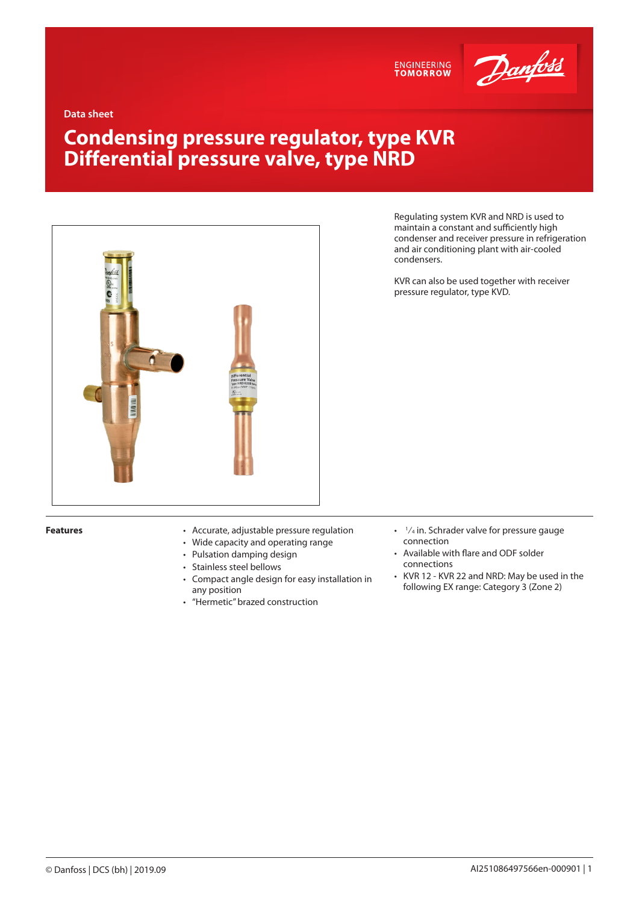



**Data sheet**

# **Condensing pressure regulator, type KVR Differential pressure valve, type NRD**



Regulating system KVR and NRD is used to maintain a constant and sufficiently high condenser and receiver pressure in refrigeration and air conditioning plant with air-cooled condensers.

KVR can also be used together with receiver pressure regulator, type KVD.

- **Features** Accurate, adjustable pressure regulation
	- Wide capacity and operating range
	- Pulsation damping design
	- Stainless steel bellows
	- Compact angle design for easy installation in any position
	- "Hermetic" brazed construction
- $\cdot$   $\frac{1}{4}$  in. Schrader valve for pressure gauge connection
- Available with flare and ODF solder connections
- KVR 12 KVR 22 and NRD: May be used in the following EX range: Category 3 (Zone 2)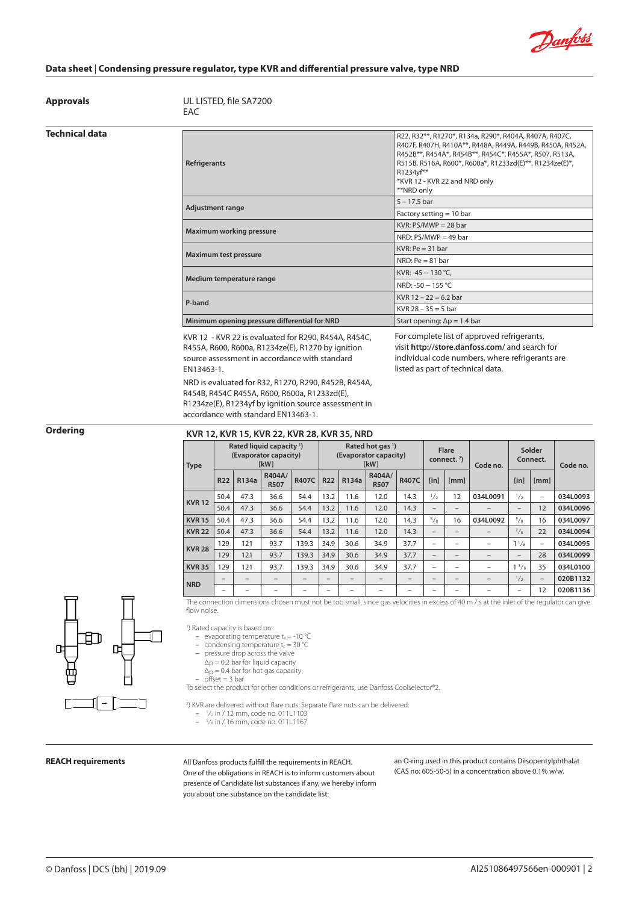

**Approvals** UL LISTED, file SA7200 EAC

### **Technical data**

| Refrigerants                                  | R22, R32**, R1270*, R134a, R290*, R404A, R407A, R407C,<br>R407F, R407H, R410A**, R448A, R449A, R449B, R450A, R452A,<br>R452B**, R454A*, R454B**, R454C*, R455A*, R507, R513A,<br>R515B, R516A, R600*, R600a*, R1233zd(E)**, R1234ze(E)*,<br>R1234vf**<br>*KVR 12 - KVR 22 and NRD only<br>**NRD only |  |  |  |  |  |
|-----------------------------------------------|------------------------------------------------------------------------------------------------------------------------------------------------------------------------------------------------------------------------------------------------------------------------------------------------------|--|--|--|--|--|
| <b>Adjustment range</b>                       | $5 - 17.5$ bar                                                                                                                                                                                                                                                                                       |  |  |  |  |  |
|                                               | Factory setting $= 10$ bar                                                                                                                                                                                                                                                                           |  |  |  |  |  |
| <b>Maximum working pressure</b>               | $KVR: PS/MWP = 28$ bar                                                                                                                                                                                                                                                                               |  |  |  |  |  |
|                                               | NRD: $PS/MWP = 49$ bar                                                                                                                                                                                                                                                                               |  |  |  |  |  |
| Maximum test pressure                         | $KVR: Pe = 31 bar$                                                                                                                                                                                                                                                                                   |  |  |  |  |  |
|                                               | NRD: $Pe = 81$ bar                                                                                                                                                                                                                                                                                   |  |  |  |  |  |
| Medium temperature range                      | KVR: -45 $-$ 130 °C,                                                                                                                                                                                                                                                                                 |  |  |  |  |  |
|                                               | NRD: -50 - 155 °C                                                                                                                                                                                                                                                                                    |  |  |  |  |  |
| P-band                                        | KVR $12 - 22 = 6.2$ bar                                                                                                                                                                                                                                                                              |  |  |  |  |  |
|                                               | KVR 28 – 35 = 5 bar                                                                                                                                                                                                                                                                                  |  |  |  |  |  |
| Minimum opening pressure differential for NRD | Start opening: $\Delta p = 1.4$ bar                                                                                                                                                                                                                                                                  |  |  |  |  |  |

KVR 12 - KVR 22 is evaluated for R290, R454A, R454C, R455A, R600, R600a, R1234ze(E), R1270 by ignition source assessment in accordance with standard EN13463-1.

NRD is evaluated for R32, R1270, R290, R452B, R454A, R454B, R454C R455A, R600, R600a, R1233zd(E), R1234ze(E), R1234yf by ignition source assessment in accordance with standard EN13463-1.

For complete list of approved refrigerants, visit **http://store.danfoss.com/** and search for individual code numbers, where refrigerants are listed as part of technical data.

# **Ordering KVR 12, KVR 15, KVR 22, KVR 28, KVR 35, NRD**

| <b>Type</b>   |                          |       | Rated liquid capacity <sup>1</sup> )<br>(Evaporator capacity)<br><b>IkW1</b> |              | Rated hot gas <sup>1</sup> )<br>(Evaporator capacity)<br><b>IkW1</b> |       |                       |       | Flare<br>connect. $2$ )  |      | Code no.                 | Solder<br>Connect.       |                 | Code no. |
|---------------|--------------------------|-------|------------------------------------------------------------------------------|--------------|----------------------------------------------------------------------|-------|-----------------------|-------|--------------------------|------|--------------------------|--------------------------|-----------------|----------|
|               | <b>R22</b>               | R134a | R404A/<br><b>R507</b>                                                        | <b>R407C</b> | <b>R22</b>                                                           | R134a | R404A/<br><b>R507</b> | R407C | [in]                     | [mm] |                          | [in]                     | [mm]            |          |
| <b>KVR12</b>  | 50.4                     | 47.3  | 36.6                                                                         | 54.4         | 13.2                                                                 | 11.6  | 12.0                  | 14.3  | $\frac{1}{2}$            | 12   | 034L0091                 | 1/2                      | $\qquad \qquad$ | 034L0093 |
|               | 50.4                     | 47.3  | 36.6                                                                         | 54.4         | 13.2                                                                 | 11.6  | 12.0                  | 14.3  | $\overline{\phantom{0}}$ | -    |                          | -                        | 12              | 034L0096 |
| <b>KVR 15</b> | 50.4                     | 47.3  | 36.6                                                                         | 54.4         | 13.2                                                                 | 11.6  | 12.0                  | 14.3  | 5/8                      | 16   | 034L0092                 | 5/8                      | 16              | 034L0097 |
| <b>KVR 22</b> | 50.4                     | 47.3  | 36.6                                                                         | 54.4         | 13.2                                                                 | 11.6  | 12.0                  | 14.3  | $\overline{\phantom{0}}$ | -    |                          | $^{7}/_8$                | 22              | 034L0094 |
| <b>KVR 28</b> | 129                      | 121   | 93.7                                                                         | 139.3        | 34.9                                                                 | 30.6  | 34.9                  | 37.7  | $\overline{\phantom{a}}$ | -    | $\overline{\phantom{0}}$ | $1^{1}/s$                | $\qquad \qquad$ | 034L0095 |
|               | 129                      | 121   | 93.7                                                                         | 139.3        | 34.9                                                                 | 30.6  | 34.9                  | 37.7  |                          | -    |                          | -                        | 28              | 034L0099 |
| <b>KVR 35</b> | 129                      | 121   | 93.7                                                                         | 139.3        | 34.9                                                                 | 30.6  | 34.9                  | 37.7  | -                        | -    | $\overline{\phantom{0}}$ | $1^{3}/8$                | 35              | 034L0100 |
| <b>NRD</b>    |                          |       | -                                                                            | -            |                                                                      |       |                       |       | $\overline{\phantom{a}}$ | -    | $\overline{\phantom{0}}$ | 1/2                      |                 | 020B1132 |
|               | $\overline{\phantom{0}}$ |       | -                                                                            |              |                                                                      |       |                       |       |                          | -    |                          | $\overline{\phantom{0}}$ | 12              | 020B1136 |

The connection dimensions chosen must not be too small, since gas velocities in excess of 40 m / s at the inlet of the regulator can give flow noise.



1 ) Rated capacity is based on:

- evaporating temperature  $t_e$  = -10 °C
- condensing temperature  $t_c = 30$  °C
- pressure drop across the valve
- $\Delta$ <sub>D</sub> = 0.2 bar for liquid capacity  $\Delta p = 0.4$  bar for hot gas capacity
- offset = 3 bar
- 

To select the product for other conditions or refrigerants, use Danfoss Coolselector®2.

2 ) KVR are delivered without flare nuts. Separate flare nuts can be delivered:

- <sup>1</sup> ⁄2 in / 12 mm, code no. 011L1103
- <sup>5</sup> ⁄8 in / 16 mm, code no. 011L1167

**REACH requirements** All Danfoss products fulfill the requirements in REACH. One of the obligations in REACH is to inform customers about presence of Candidate list substances if any, we hereby inform you about one substance on the candidate list:

an O-ring used in this product contains Diisopentylphthalat (CAS no: 605-50-5) in a concentration above 0.1% w/w.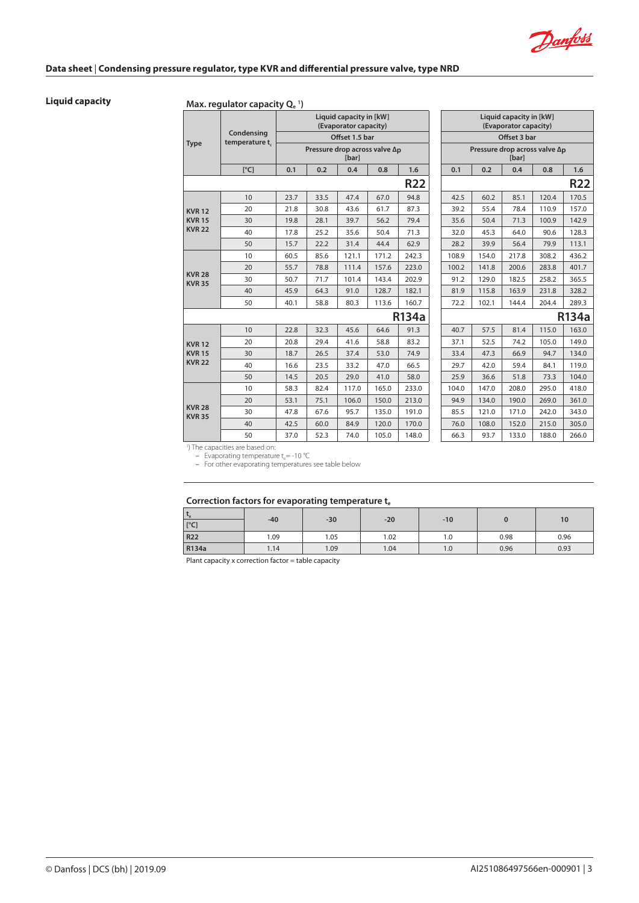Danfoss

# **Liquid capacity Max. regulator capacity Qe <sup>1</sup> )**

|                                |                                             |      |                                         | Liquid capacity in [kW]<br>(Evaporator capacity) |       |              |       |       | Liquid capacity in [kW]<br>(Evaporator capacity) |       |            |
|--------------------------------|---------------------------------------------|------|-----------------------------------------|--------------------------------------------------|-------|--------------|-------|-------|--------------------------------------------------|-------|------------|
| <b>Type</b>                    | Condensing<br>temperature t                 |      |                                         | Offset 1.5 bar                                   |       |              |       |       | Offset 3 bar                                     |       |            |
|                                |                                             |      | Pressure drop across valve $\Delta_{D}$ | <b>[bar]</b>                                     |       |              |       |       | Pressure drop across valve $\Delta_{D}$<br>[bar] |       |            |
|                                | [°C]                                        | 0.1  | 0.2                                     | 0.4                                              | 0.8   | 1.6          | 0.1   | 0.2   | 0.4                                              | 0.8   | 1.6        |
|                                |                                             |      |                                         |                                                  |       | <b>R22</b>   |       |       |                                                  |       | <b>R22</b> |
|                                | 10                                          | 23.7 | 33.5                                    | 47.4                                             | 67.0  | 94.8         | 42.5  | 60.2  | 85.1                                             | 120.4 | 170.5      |
| <b>KVR12</b>                   | 20                                          | 21.8 | 30.8                                    | 43.6                                             | 61.7  | 87.3         | 39.2  | 55.4  | 78.4                                             | 110.9 | 157.0      |
| <b>KVR15</b>                   | 30                                          | 19.8 | 28.1                                    | 39.7                                             | 56.2  | 79.4         | 35.6  | 50.4  | 71.3                                             | 100.9 | 142.9      |
| <b>KVR 22</b>                  | 40                                          | 17.8 | 25.2                                    | 35.6                                             | 50.4  | 71.3         | 32.0  | 45.3  | 64.0                                             | 90.6  | 128.3      |
|                                | 50                                          | 15.7 | 22.2                                    | 31.4                                             | 44.4  | 62.9         | 28.2  | 39.9  | 56.4                                             | 79.9  | 113.1      |
|                                | 10                                          | 60.5 | 85.6                                    | 121.1                                            | 171.2 | 242.3        | 108.9 | 154.0 | 217.8                                            | 308.2 | 436.2      |
|                                | 20                                          | 55.7 | 78.8                                    | 111.4                                            | 157.6 | 223.0        | 100.2 | 141.8 | 200.6                                            | 283.8 | 401.7      |
| <b>KVR 28</b><br><b>KVR 35</b> | 30                                          | 50.7 | 71.7                                    | 101.4                                            | 143.4 | 202.9        | 91.2  | 129.0 | 182.5                                            | 258.2 | 365.5      |
|                                | 40                                          | 45.9 | 64.3                                    | 91.0                                             | 128.7 | 182.1        | 81.9  | 115.8 | 163.9                                            | 231.8 | 328.2      |
|                                | 50                                          | 40.1 | 58.8                                    | 80.3                                             | 113.6 | 160.7        | 72.2  | 102.1 | 144.4                                            | 204.4 | 289.3      |
|                                |                                             |      |                                         |                                                  |       | <b>R134a</b> |       |       |                                                  |       | R134       |
|                                | 10                                          | 22.8 | 32.3                                    | 45.6                                             | 64.6  | 91.3         | 40.7  | 57.5  | 81.4                                             | 115.0 | 163.0      |
| <b>KVR12</b>                   | 20                                          | 20.8 | 29.4                                    | 41.6                                             | 58.8  | 83.2         | 37.1  | 52.5  | 74.2                                             | 105.0 | 149.0      |
| <b>KVR15</b>                   | 30                                          | 18.7 | 26.5                                    | 37.4                                             | 53.0  | 74.9         | 33.4  | 47.3  | 66.9                                             | 94.7  | 134.0      |
| <b>KVR 22</b>                  | 40                                          | 16.6 | 23.5                                    | 33.2                                             | 47.0  | 66.5         | 29.7  | 42.0  | 59.4                                             | 84.1  | 119.0      |
|                                | 50                                          | 14.5 | 20.5                                    | 29.0                                             | 41.0  | 58.0         | 25.9  | 36.6  | 51.8                                             | 73.3  | 104.0      |
|                                | 10                                          | 58.3 | 82.4                                    | 117.0                                            | 165.0 | 233.0        | 104.0 | 147.0 | 208.0                                            | 295.0 | 418.0      |
|                                | 20                                          | 53.1 | 75.1                                    | 106.0                                            | 150.0 | 213.0        | 94.9  | 134.0 | 190.0                                            | 269.0 | 361.0      |
| <b>KVR 28</b><br><b>KVR 35</b> | 30                                          | 47.8 | 67.6                                    | 95.7                                             | 135.0 | 191.0        | 85.5  | 121.0 | 171.0                                            | 242.0 | 343.0      |
|                                | 40                                          | 42.5 | 60.0                                    | 84.9                                             | 120.0 | 170.0        | 76.0  | 108.0 | 152.0                                            | 215.0 | 305.0      |
|                                | 50                                          | 37.0 | 52.3                                    | 74.0                                             | 105.0 | 148.0        | 66.3  | 93.7  | 133.0                                            | 188.0 | 266.0      |
|                                | <sup>1</sup> ) The capacities are based on: |      |                                         |                                                  |       |              |       |       |                                                  |       |            |

|                        | id capacity in [kW]<br>porator capacity) |                                    |              |  |       |       | Liquid capacity in [kW]<br>(Evaporator capacity) |                                                  |              |
|------------------------|------------------------------------------|------------------------------------|--------------|--|-------|-------|--------------------------------------------------|--------------------------------------------------|--------------|
|                        | Offset 1.5 bar                           |                                    |              |  |       |       | Offset 3 bar                                     |                                                  |              |
|                        | [bar]                                    | e drop across valve Δ <sub>D</sub> |              |  |       |       | [bar]                                            | Pressure drop across valve $\Delta_{\mathbf{D}}$ |              |
|                        | 0.4                                      | 0.8                                | 1.6          |  | 0.1   | 0.2   | 0.4                                              | 0.8                                              | 1.6          |
|                        |                                          |                                    | <b>R22</b>   |  |       |       |                                                  |                                                  | R22          |
|                        | 47.4                                     | 67.0                               | 94.8         |  | 42.5  | 60.2  | 85.1                                             | 120.4                                            | 170.5        |
|                        | 43.6                                     | 61.7                               | 87.3         |  | 39.2  | 55.4  | 78.4                                             | 110.9                                            | 157.0        |
|                        | 39.7                                     | 56.2                               | 79.4         |  | 35.6  | 50.4  | 71.3                                             | 100.9                                            | 142.9        |
|                        | 35.6                                     | 50.4                               | 71.3         |  | 32.0  | 45.3  | 64.0                                             | 90.6                                             | 128.3        |
|                        | 31.4                                     | 44.4                               | 62.9         |  | 28.2  | 39.9  | 56.4                                             | 79.9                                             | 113.1        |
|                        | 121.1                                    | 171.2                              | 242.3        |  | 108.9 | 154.0 | 217.8                                            | 308.2                                            | 436.2        |
|                        | 111.4                                    | 157.6                              | 223.0        |  | 100.2 | 141.8 | 200.6                                            | 283.8                                            | 401.7        |
|                        | 101.4                                    | 143.4                              | 202.9        |  | 91.2  | 129.0 | 182.5                                            | 258.2                                            | 365.5        |
|                        | 91.0                                     | 128.7                              | 182.1        |  | 81.9  | 115.8 | 163.9                                            | 231.8                                            | 328.2        |
|                        | 80.3                                     | 113.6                              | 160.7        |  | 72.2  | 102.1 | 144.4                                            | 204.4                                            | 289.3        |
|                        |                                          |                                    | <b>R134a</b> |  |       |       |                                                  |                                                  | <b>R134a</b> |
|                        | 45.6                                     | 64.6                               | 91.3         |  | 40.7  | 57.5  | 81.4                                             | 115.0                                            | 163.0        |
|                        | 41.6                                     | 58.8                               | 83.2         |  | 37.1  | 52.5  | 74.2                                             | 105.0                                            | 149.0        |
|                        | 37.4                                     | 53.0                               | 74.9         |  | 33.4  | 47.3  | 66.9                                             | 94.7                                             | 134.0        |
|                        | 33.2                                     | 47.0                               | 66.5         |  | 29.7  | 42.0  | 59.4                                             | 84.1                                             | 119.0        |
|                        | 29.0                                     | 41.0                               | 58.0         |  | 25.9  | 36.6  | 51.8                                             | 73.3                                             | 104.0        |
|                        | 117.0                                    | 165.0                              | 233.0        |  | 104.0 | 147.0 | 208.0                                            | 295.0                                            | 418.0        |
|                        | 106.0                                    | 150.0                              | 213.0        |  | 94.9  | 134.0 | 190.0                                            | 269.0                                            | 361.0        |
|                        | 95.7                                     | 135.0                              | 191.0        |  | 85.5  | 121.0 | 171.0                                            | 242.0                                            | 343.0        |
|                        | 84.9                                     | 120.0                              | 170.0        |  | 76.0  | 108.0 | 152.0                                            | 215.0                                            | 305.0        |
| 74.0<br>105.0<br>148.0 |                                          |                                    |              |  | 66.3  | 93.7  | 133.0                                            | 188.0                                            | 266.0        |

– Evaporating temperature t<sub>e</sub>= -10 °C<br>– For other evaporating temperatures see table below

# **Correction factors for evaporating temperature te**

| $-e$<br>[°C] | $-40$ | $-30$ | $-20$ | $-10$ |      | 10   |
|--------------|-------|-------|-------|-------|------|------|
| <b>R22</b>   | 1.09  | 1.05  | 1.02  | 1.0   | 0.98 | 0.96 |
| R134a        | 1.14  | 1.09  | 1.04  | 1.0   | 0.96 | 0.93 |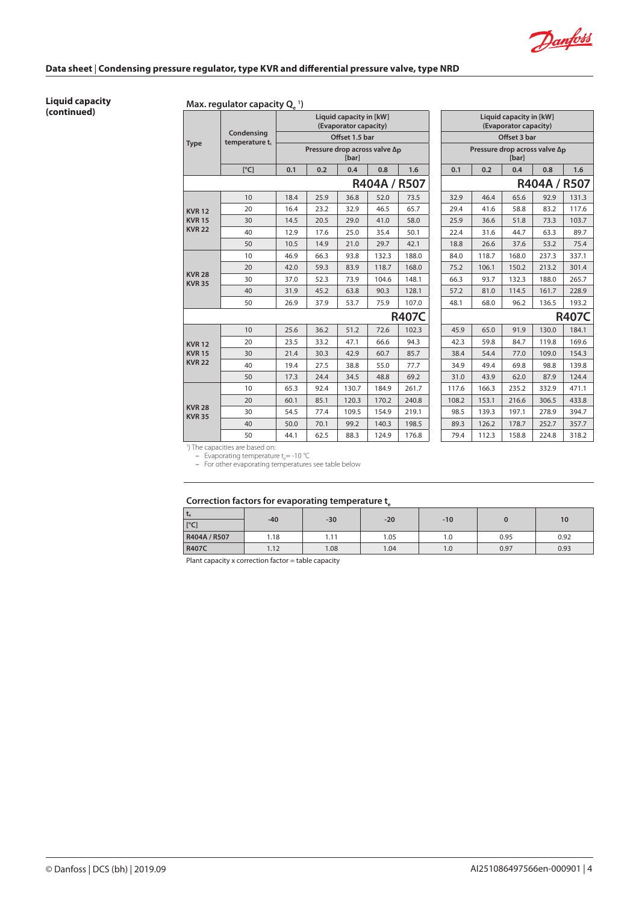Danfoss

#### **Liquid capacity (continued) Max. regulator capacity Qe 1 )**

|                                |                                             |      |                                         | Liquid capacity in [kW]<br>(Evaporator capacity) |              |              |       |       | Liquid capacity in [kW]<br>(Evaporator capacity) |             |       |
|--------------------------------|---------------------------------------------|------|-----------------------------------------|--------------------------------------------------|--------------|--------------|-------|-------|--------------------------------------------------|-------------|-------|
| <b>Type</b>                    | Condensing<br>temperature t <sub>c</sub>    |      |                                         | Offset 1.5 bar                                   |              |              |       |       | Offset 3 bar                                     |             |       |
|                                |                                             |      | Pressure drop across valve $\Delta_{D}$ | <b>[bar]</b>                                     |              |              |       |       | Pressure drop across valve $\Delta_{D}$<br>[bar] |             |       |
|                                | [°C]                                        | 0.1  | 0.2                                     | 0.4                                              | 0.8          | 1.6          | 0.1   | 0.2   | 0.4                                              | 0.8         | 1.6   |
|                                |                                             |      |                                         |                                                  | R404A / R507 |              |       |       |                                                  | R404A / R50 |       |
|                                | 10                                          | 18.4 | 25.9                                    | 36.8                                             | 52.0         | 73.5         | 32.9  | 46.4  | 65.6                                             | 92.9        | 131.3 |
| <b>KVR12</b>                   | 20                                          | 16.4 | 23.2                                    | 32.9                                             | 46.5         | 65.7         | 29.4  | 41.6  | 58.8                                             | 83.2        | 117.6 |
| <b>KVR15</b>                   | 30                                          | 14.5 | 20.5                                    | 29.0                                             | 41.0         | 58.0         | 25.9  | 36.6  | 51.8                                             | 73.3        | 103.7 |
| <b>KVR 22</b>                  | 40                                          | 12.9 | 17.6                                    | 25.0                                             | 35.4         | 50.1         | 22.4  | 31.6  | 44.7                                             | 63.3        | 89.7  |
|                                | 50                                          | 10.5 | 14.9                                    | 21.0                                             | 29.7         | 42.1         | 18.8  | 26.6  | 37.6                                             | 53.2        | 75.4  |
|                                | 10                                          | 46.9 | 66.3                                    | 93.8                                             | 132.3        | 188.0        | 84.0  | 118.7 | 168.0                                            | 237.3       | 337.1 |
|                                | 20                                          | 42.0 | 59.3                                    | 83.9                                             | 118.7        | 168.0        | 75.2  | 106.1 | 150.2                                            | 213.2       | 301.4 |
| <b>KVR 28</b><br><b>KVR 35</b> | 30                                          | 37.0 | 52.3                                    | 73.9                                             | 104.6        | 148.1        | 66.3  | 93.7  | 132.3                                            | 188.0       | 265.7 |
|                                | 40                                          | 31.9 | 45.2                                    | 63.8                                             | 90.3         | 128.1        | 57.2  | 81.0  | 114.5                                            | 161.7       | 228.9 |
|                                | 50                                          | 26.9 | 37.9                                    | 53.7                                             | 75.9         | 107.0        | 48.1  | 68.0  | 96.2                                             | 136.5       | 193.2 |
|                                |                                             |      |                                         |                                                  |              | <b>R407C</b> |       |       |                                                  |             | R407  |
|                                | 10                                          | 25.6 | 36.2                                    | 51.2                                             | 72.6         | 102.3        | 45.9  | 65.0  | 91.9                                             | 130.0       | 184.1 |
| <b>KVR12</b>                   | 20                                          | 23.5 | 33.2                                    | 47.1                                             | 66.6         | 94.3         | 42.3  | 59.8  | 84.7                                             | 119.8       | 169.6 |
| <b>KVR15</b>                   | 30                                          | 21.4 | 30.3                                    | 42.9                                             | 60.7         | 85.7         | 38.4  | 54.4  | 77.0                                             | 109.0       | 154.3 |
| <b>KVR 22</b>                  | 40                                          | 19.4 | 27.5                                    | 38.8                                             | 55.0         | 77.7         | 34.9  | 49.4  | 69.8                                             | 98.8        | 139.8 |
|                                | 50                                          | 17.3 | 24.4                                    | 34.5                                             | 48.8         | 69.2         | 31.0  | 43.9  | 62.0                                             | 87.9        | 124.4 |
|                                | 10                                          | 65.3 | 92.4                                    | 130.7                                            | 184.9        | 261.7        | 117.6 | 166.3 | 235.2                                            | 332.9       | 471.1 |
|                                | 20                                          | 60.1 | 85.1                                    | 120.3                                            | 170.2        | 240.8        | 108.2 | 153.1 | 216.6                                            | 306.5       | 433.8 |
| <b>KVR 28</b><br><b>KVR 35</b> | 30                                          | 54.5 | 77.4                                    | 109.5                                            | 154.9        | 219.1        | 98.5  | 139.3 | 197.1                                            | 278.9       | 394.7 |
|                                | 40                                          | 50.0 | 70.1                                    | 99.2                                             | 140.3        | 198.5        | 89.3  | 126.2 | 178.7                                            | 252.7       | 357.7 |
|                                | 50                                          | 44.1 | 62.5                                    | 88.3                                             | 124.9        | 176.8        | 79.4  | 112.3 | 158.8                                            | 224.8       | 318.2 |
|                                | <sup>1</sup> ) The capacities are based on: |      |                                         |                                                  |              |              |       |       |                                                  |             |       |

| id capacity in [kW]<br>porator capacity)           |              |              | Liquid capacity in [kW]<br>(Evaporator capacity) |       |                                                  |              |              |  |  |  |
|----------------------------------------------------|--------------|--------------|--------------------------------------------------|-------|--------------------------------------------------|--------------|--------------|--|--|--|
| Offset 1.5 bar                                     |              |              |                                                  |       | Offset 3 bar                                     |              |              |  |  |  |
| e drop across valve $\Delta_{\mathbf{D}}$<br>[bar] |              |              |                                                  |       | Pressure drop across valve $\Delta_{D}$<br>[bar] |              |              |  |  |  |
| 0.4                                                | 0.8          | 1.6          | 0.1                                              | 0.2   | 0.4                                              | 0.8          | 1.6          |  |  |  |
|                                                    | R404A / R507 |              |                                                  |       |                                                  | R404A / R507 |              |  |  |  |
| 36.8                                               | 52.0         | 73.5         | 32.9                                             | 46.4  | 65.6                                             | 92.9         | 131.3        |  |  |  |
| 32.9                                               | 46.5         | 65.7         | 29.4                                             | 41.6  | 58.8                                             | 83.2         | 117.6        |  |  |  |
| 29.0                                               | 41.0         | 58.0         | 25.9                                             | 36.6  | 51.8                                             | 73.3         | 103.7        |  |  |  |
| 25.0                                               | 35.4         | 50.1         | 22.4                                             | 31.6  | 44.7                                             | 63.3         | 89.7         |  |  |  |
| 21.0                                               | 29.7         | 42.1         | 18.8                                             | 26.6  | 37.6                                             | 53.2         | 75.4         |  |  |  |
| 93.8                                               | 132.3        | 188.0        | 84.0                                             | 118.7 | 168.0                                            | 237.3        | 337.1        |  |  |  |
| 83.9                                               | 118.7        | 168.0        | 75.2                                             | 106.1 | 150.2                                            | 213.2        | 301.4        |  |  |  |
| 73.9                                               | 104.6        | 148.1        | 66.3                                             | 93.7  | 132.3                                            | 188.0        | 265.7        |  |  |  |
| 63.8                                               | 90.3         | 128.1        | 57.2                                             | 81.0  | 114.5                                            | 161.7        | 228.9        |  |  |  |
| 53.7                                               | 75.9         | 107.0        | 48.1                                             | 68.0  | 96.2                                             | 136.5        | 193.2        |  |  |  |
|                                                    |              | <b>R407C</b> |                                                  |       |                                                  |              | <b>R407C</b> |  |  |  |
| 51.2                                               | 72.6         | 102.3        | 45.9                                             | 65.0  | 91.9                                             | 130.0        | 184.1        |  |  |  |
| 47.1                                               | 66.6         | 94.3         | 42.3                                             | 59.8  | 84.7                                             | 119.8        | 169.6        |  |  |  |
| 42.9                                               | 60.7         | 85.7         | 38.4                                             | 54.4  | 77.0                                             | 109.0        | 154.3        |  |  |  |
| 38.8                                               | 55.0         | 77.7         | 34.9                                             | 49.4  | 69.8                                             | 98.8         | 139.8        |  |  |  |
| 34.5                                               | 48.8         | 69.2         | 31.0                                             | 43.9  | 62.0                                             | 87.9         | 124.4        |  |  |  |
| 130.7                                              | 184.9        | 261.7        | 117.6                                            | 166.3 | 235.2                                            | 332.9        | 471.1        |  |  |  |
| 120.3                                              | 170.2        | 240.8        | 108.2                                            | 153.1 | 216.6                                            | 306.5        | 433.8        |  |  |  |
| 109.5                                              | 154.9        | 219.1        | 98.5                                             | 139.3 | 197.1                                            | 278.9        | 394.7        |  |  |  |
| 99.2                                               | 140.3        | 198.5        | 89.3                                             | 126.2 | 178.7                                            | 252.7        | 357.7        |  |  |  |
| 88.3                                               | 124.9        | 176.8        | 79.4                                             | 112.3 | 158.8                                            | 224.8        | 318.2        |  |  |  |

– Evaporating temperature t<sub>e</sub>= -10 °C<br>– For other evaporating temperatures see table below

# Correction factors for evaporating temperature t<sub>e</sub>

| <b>Le</b><br>[°C] | $-40$ | $-30$ | $-20$ | $-10$ |      | 10   |
|-------------------|-------|-------|-------|-------|------|------|
| R404A / R507      | 1.18  | 1.11  | 1.05  | 1.0   | 0.95 | 0.92 |
| <b>R407C</b>      | 1.12  | 1.08  | 1.04  | 1.0   | 0.97 | 0.93 |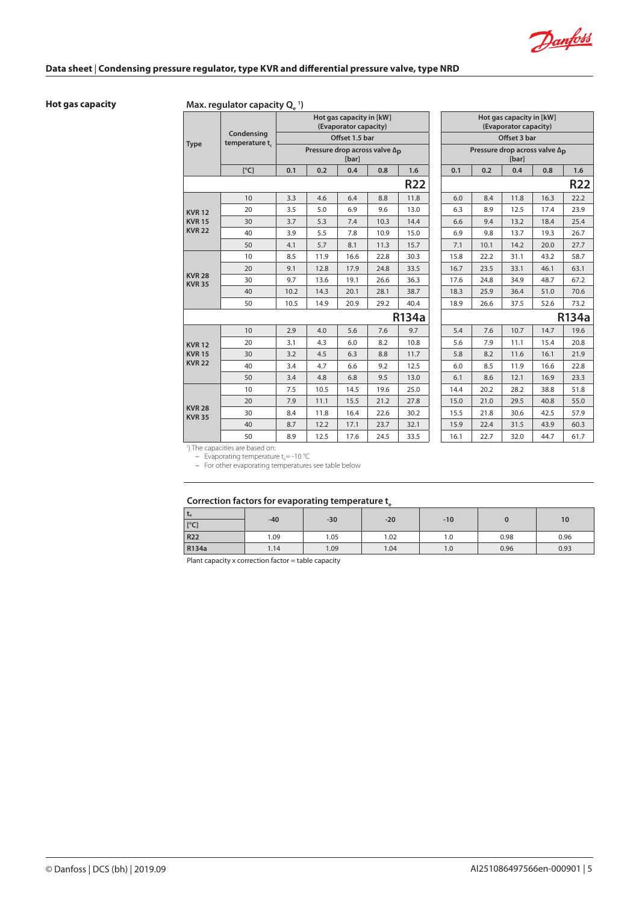Danfoss

# **Hot gas capacity Max. regulator capacity Q**<sub>e</sub><sup>1</sup>)

|                                |                             |      |                                         | Hot gas capacity in [kW]<br>(Evaporator capacity) |      |              |      |      | Hot gas capacity in [kW]<br>(Evaporator capacity) |      |                |
|--------------------------------|-----------------------------|------|-----------------------------------------|---------------------------------------------------|------|--------------|------|------|---------------------------------------------------|------|----------------|
| <b>Type</b>                    | Condensing<br>temperature t |      |                                         | Offset 1.5 bar                                    |      |              |      |      | Offset 3 bar                                      |      |                |
|                                |                             |      | Pressure drop across valve $\Delta_{D}$ | [bar]                                             |      |              |      |      | Pressure drop across valve $\Delta_{D}$<br>[bar]  |      |                |
|                                | [°C]                        | 0.1  | 0.2                                     | 0.4                                               | 0.8  | 1.6          | 0.1  | 0.2  | 0.4                                               | 0.8  | 1.6            |
|                                |                             |      |                                         |                                                   |      | <b>R22</b>   |      |      |                                                   |      | R <sub>2</sub> |
|                                | 10                          | 3.3  | 4.6                                     | 6.4                                               | 8.8  | 11.8         | 6.0  | 8.4  | 11.8                                              | 16.3 | 22.2           |
| <b>KVR12</b>                   | 20                          | 3.5  | 5.0                                     | 6.9                                               | 9.6  | 13.0         | 6.3  | 8.9  | 12.5                                              | 17.4 | 23.9           |
| <b>KVR15</b>                   | 30                          | 3.7  | 5.3                                     | 7.4                                               | 10.3 | 14.4         | 6.6  | 9.4  | 13.2                                              | 18.4 | 25.4           |
| <b>KVR 22</b>                  | 40                          | 3.9  | 5.5                                     | 7.8                                               | 10.9 | 15.0         | 6.9  | 9.8  | 13.7                                              | 19.3 | 26.7           |
|                                | 50                          | 4.1  | 5.7                                     | 8.1                                               | 11.3 | 15.7         | 7.1  | 10.1 | 14.2                                              | 20.0 | 27.7           |
|                                | 10                          | 8.5  | 11.9                                    | 16.6                                              | 22.8 | 30.3         | 15.8 | 22.2 | 31.1                                              | 43.2 | 58.7           |
|                                | 20                          | 9.1  | 12.8                                    | 17.9                                              | 24.8 | 33.5         | 16.7 | 23.5 | 33.1                                              | 46.1 | 63.1           |
| <b>KVR 28</b><br><b>KVR 35</b> | 30                          | 9.7  | 13.6                                    | 19.1                                              | 26.6 | 36.3         | 17.6 | 24.8 | 34.9                                              | 48.7 | 67.2           |
|                                | 40                          | 10.2 | 14.3                                    | 20.1                                              | 28.1 | 38.7         | 18.3 | 25.9 | 36.4                                              | 51.0 | 70.6           |
|                                | 50                          | 10.5 | 14.9                                    | 20.9                                              | 29.2 | 40.4         | 18.9 | 26.6 | 37.5                                              | 52.6 | 73.2           |
|                                |                             |      |                                         |                                                   |      | <b>R134a</b> |      |      |                                                   |      | R134           |
|                                | 10                          | 2.9  | 4.0                                     | 5.6                                               | 7.6  | 9.7          | 5.4  | 7.6  | 10.7                                              | 14.7 | 19.6           |
| <b>KVR12</b>                   | 20                          | 3.1  | 4.3                                     | 6.0                                               | 8.2  | 10.8         | 5.6  | 7.9  | 11.1                                              | 15.4 | 20.8           |
| <b>KVR15</b>                   | 30                          | 3.2  | 4.5                                     | 6.3                                               | 8.8  | 11.7         | 5.8  | 8.2  | 11.6                                              | 16.1 | 21.9           |
| <b>KVR 22</b>                  | 40                          | 3.4  | 4.7                                     | 6.6                                               | 9.2  | 12.5         | 6.0  | 8.5  | 11.9                                              | 16.6 | 22.8           |
|                                | 50                          | 3.4  | 4.8                                     | 6.8                                               | 9.5  | 13.0         | 6.1  | 8.6  | 12.1                                              | 16.9 | 23.3           |
|                                | 10                          | 7.5  | 10.5                                    | 14.5                                              | 19.6 | 25.0         | 14.4 | 20.2 | 28.2                                              | 38.8 | 51.8           |
|                                | 20                          | 7.9  | 11.1                                    | 15.5                                              | 21.2 | 27.8         | 15.0 | 21.0 | 29.5                                              | 40.8 | 55.C           |
| <b>KVR 28</b><br><b>KVR 35</b> | 30                          | 8.4  | 11.8                                    | 16.4                                              | 22.6 | 30.2         | 15.5 | 21.8 | 30.6                                              | 42.5 | 57.9           |
|                                | 40                          | 8.7  | 12.2                                    | 17.1                                              | 23.7 | 32.1         | 15.9 | 22.4 | 31.5                                              | 43.9 | 60.3           |
|                                | 50                          | 8.9  | 12.5                                    | 17.6                                              | 24.5 | 33.5         | 16.1 | 22.7 | 32.0                                              | 44.7 | 61.7           |

| as capacity in [kW]<br>porator capacity) |                                    |            | Hot gas capacity in [kW]<br>(Evaporator capacity) |      |                                                  |      |              |  |  |  |
|------------------------------------------|------------------------------------|------------|---------------------------------------------------|------|--------------------------------------------------|------|--------------|--|--|--|
| Offset 1.5 bar                           |                                    |            |                                                   |      | Offset 3 bar                                     |      |              |  |  |  |
| [bar]                                    | e drop across valve Δ <sub>D</sub> |            |                                                   |      | Pressure drop across valve $\Delta_{D}$<br>[bar] |      |              |  |  |  |
| 0.4                                      | 0.8                                | 1.6        | 0.1                                               | 0.2  | 0.4                                              | 0.8  | 1.6          |  |  |  |
|                                          |                                    | <b>R22</b> |                                                   |      |                                                  |      | <b>R22</b>   |  |  |  |
| 6.4                                      | 8.8                                | 11.8       | 6.0                                               | 8.4  | 11.8                                             | 16.3 | 22.2         |  |  |  |
| 6.9                                      | 9.6                                | 13.0       | 6.3                                               | 8.9  | 12.5                                             | 17.4 | 23.9         |  |  |  |
| 7.4                                      | 10.3                               | 14.4       | 6.6                                               | 9.4  | 13.2                                             | 18.4 | 25.4         |  |  |  |
| 7.8                                      | 10.9                               | 15.0       | 6.9                                               | 9.8  | 13.7                                             | 19.3 | 26.7         |  |  |  |
| 8.1                                      | 11.3                               | 15.7       | 7.1                                               | 10.1 | 14.2                                             | 20.0 | 27.7         |  |  |  |
| 16.6                                     | 22.8                               | 30.3       | 15.8                                              | 22.2 | 31.1                                             | 43.2 | 58.7         |  |  |  |
| 17.9                                     | 24.8                               | 33.5       | 16.7                                              | 23.5 | 33.1                                             | 46.1 | 63.1         |  |  |  |
| 19.1                                     | 26.6                               | 36.3       | 17.6                                              | 24.8 | 34.9                                             | 48.7 | 67.2         |  |  |  |
| 20.1                                     | 28.1                               | 38.7       | 18.3                                              | 25.9 | 36.4                                             | 51.0 | 70.6         |  |  |  |
| 20.9                                     | 29.2                               | 40.4       | 18.9                                              | 26.6 | 37.5                                             | 52.6 | 73.2         |  |  |  |
|                                          |                                    | R134a      |                                                   |      |                                                  |      | <b>R134a</b> |  |  |  |
| 5.6                                      | 7.6                                | 9.7        | 5.4                                               | 7.6  | 10.7                                             | 14.7 | 19.6         |  |  |  |
| 6.0                                      | 8.2                                | 10.8       | 5.6                                               | 7.9  | 11.1                                             | 15.4 | 20.8         |  |  |  |
| 6.3                                      | 8.8                                | 11.7       | 5.8                                               | 8.2  | 11.6                                             | 16.1 | 21.9         |  |  |  |
| 6.6                                      | 9.2                                | 12.5       | 6.0                                               | 8.5  | 11.9                                             | 16.6 | 22.8         |  |  |  |
| 6.8                                      | 9.5                                | 13.0       | 6.1                                               | 8.6  | 12.1                                             | 16.9 | 23.3         |  |  |  |
| 14.5                                     | 19.6                               | 25.0       | 14.4                                              | 20.2 | 28.2                                             | 38.8 | 51.8         |  |  |  |
| 15.5                                     | 21.2                               | 27.8       | 15.0                                              | 21.0 | 29.5                                             | 40.8 | 55.0         |  |  |  |
| 16.4                                     | 22.6                               | 30.2       | 15.5                                              | 21.8 | 30.6                                             | 42.5 | 57.9         |  |  |  |
| 17.1                                     | 23.7                               | 32.1       | 15.9                                              | 22.4 | 31.5                                             | 43.9 | 60.3         |  |  |  |
| 17.6                                     | 24.5                               | 33.5       | 16.1                                              | 22.7 | 32.0                                             | 44.7 | 61.7         |  |  |  |
|                                          |                                    |            |                                                   |      |                                                  |      |              |  |  |  |

1 ) The capacities are based on:

– Evaporating temperature t<sub>e</sub>= -10 ℃<br>– For other evaporating temperatures see table below

# Correction factors for evaporating temperature t<sub>a</sub>

| $t_{e}$<br>[°C] | $-40$ | $-30$ | $-20$ | $-10$ |      | 10   |
|-----------------|-------|-------|-------|-------|------|------|
| <b>R22</b>      | 1.09  | 1.05  | 1.02  | 1.0   | 0.98 | 0.96 |
| R134a           | 1.14  | 1.09  | 1.04  | 1.0   | 0.96 | 0.93 |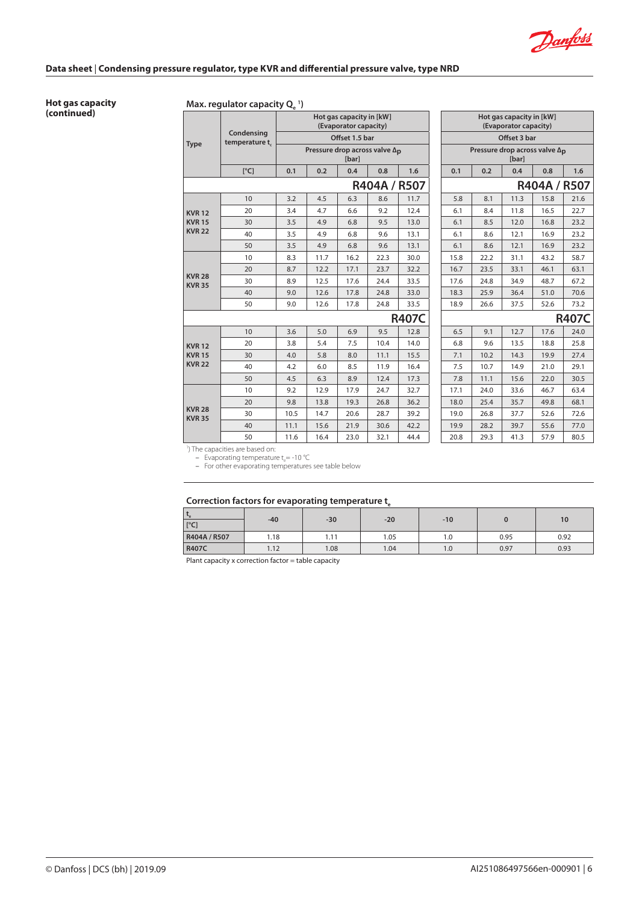Danfoss

**Hot gas capacity (continued)**

# **Max. regulator capacity Q<sub>e</sub>**<sup>1</sup>)

|                                |                             |      |                                         | Hot gas capacity in [kW]<br>(Evaporator capacity) |              |              |                                                  |      | Hot gas capacity in [kW]<br>(Evaporator capacity) |             |             |  |  |
|--------------------------------|-----------------------------|------|-----------------------------------------|---------------------------------------------------|--------------|--------------|--------------------------------------------------|------|---------------------------------------------------|-------------|-------------|--|--|
|                                | Condensing<br>temperature t |      |                                         | Offset 1.5 bar                                    |              |              | Offset 3 bar                                     |      |                                                   |             |             |  |  |
| <b>Type</b>                    |                             |      | Pressure drop across valve $\Delta_{D}$ | [bar]                                             |              |              | Pressure drop across valve $\Delta_{D}$<br>[bar] |      |                                                   |             |             |  |  |
|                                | [°C]                        | 0.1  | 0.2                                     | 0.4                                               | 0.8          | 1.6          | 0.1                                              | 0.2  | 0.4                                               | 0.8         | 1.6         |  |  |
|                                |                             |      |                                         |                                                   | R404A / R507 |              |                                                  |      |                                                   | R404A / R50 |             |  |  |
|                                | 10                          | 3.2  | 4.5                                     | 6.3                                               | 8.6          | 11.7         | 5.8                                              | 8.1  | 11.3                                              | 15.8        | 21.6        |  |  |
| <b>KVR12</b>                   | 20                          | 3.4  | 4.7                                     | 6.6                                               | 9.2          | 12.4         | 6.1                                              | 8.4  | 11.8                                              | 16.5        | 22.7        |  |  |
| <b>KVR15</b>                   | 30                          | 3.5  | 4.9                                     | 6.8                                               | 9.5          | 13.0         | 6.1                                              | 8.5  | 12.0                                              | 16.8        | 23.2        |  |  |
| <b>KVR 22</b>                  | 40                          | 3.5  | 4.9                                     | 6.8                                               | 9.6          | 13.1         | 6.1                                              | 8.6  | 12.1                                              | 16.9        | 23.2        |  |  |
|                                | 50                          | 3.5  | 4.9                                     | 6.8                                               | 9.6          | 13.1         | 6.1                                              | 8.6  | 12.1                                              | 16.9        | 23.2        |  |  |
|                                | 10                          | 8.3  | 11.7                                    | 16.2                                              | 22.3         | 30.0         | 15.8                                             | 22.2 | 31.1                                              | 43.2        | 58.7        |  |  |
|                                | 20                          | 8.7  | 12.2                                    | 17.1                                              | 23.7         | 32.2         | 16.7                                             | 23.5 | 33.1                                              | 46.1        | 63.1        |  |  |
| <b>KVR 28</b><br><b>KVR 35</b> | 30                          | 8.9  | 12.5                                    | 17.6                                              | 24.4         | 33.5         | 17.6                                             | 24.8 | 34.9                                              | 48.7        | 67.2        |  |  |
|                                | 40                          | 9.0  | 12.6                                    | 17.8                                              | 24.8         | 33.0         | 18.3                                             | 25.9 | 36.4                                              | 51.0        | 70.6        |  |  |
|                                | 50                          | 9.0  | 12.6                                    | 17.8                                              | 24.8         | 33.5         | 18.9                                             | 26.6 | 37.5                                              | 52.6        | 73.2        |  |  |
|                                |                             |      |                                         |                                                   |              | <b>R407C</b> |                                                  |      |                                                   |             | <b>R407</b> |  |  |
|                                | 10                          | 3.6  | 5.0                                     | 6.9                                               | 9.5          | 12.8         | 6.5                                              | 9.1  | 12.7                                              | 17.6        | 24.0        |  |  |
| <b>KVR12</b>                   | 20                          | 3.8  | 5.4                                     | 7.5                                               | 10.4         | 14.0         | 6.8                                              | 9.6  | 13.5                                              | 18.8        | 25.8        |  |  |
| <b>KVR15</b>                   | 30                          | 4.0  | 5.8                                     | 8.0                                               | 11.1         | 15.5         | 7.1                                              | 10.2 | 14.3                                              | 19.9        | 27.4        |  |  |
| <b>KVR 22</b>                  | 40                          | 4.2  | 6.0                                     | 8.5                                               | 11.9         | 16.4         | 7.5                                              | 10.7 | 14.9                                              | 21.0        | 29.1        |  |  |
|                                | 50                          | 4.5  | 6.3                                     | 8.9                                               | 12.4         | 17.3         | 7.8                                              | 11.1 | 15.6                                              | 22.0        | 30.5        |  |  |
|                                | 10                          | 9.2  | 12.9                                    | 17.9                                              | 24.7         | 32.7         | 17.1                                             | 24.0 | 33.6                                              | 46.7        | 63.4        |  |  |
|                                | 20                          | 9.8  | 13.8                                    | 19.3                                              | 26.8         | 36.2         | 18.0                                             | 25.4 | 35.7                                              | 49.8        | 68.1        |  |  |
| <b>KVR 28</b><br><b>KVR 35</b> | 30                          | 10.5 | 14.7                                    | 20.6                                              | 28.7         | 39.2         | 19.0                                             | 26.8 | 37.7                                              | 52.6        | 72.6        |  |  |
|                                | 40                          | 11.1 | 15.6                                    | 21.9                                              | 30.6         | 42.2         | 19.9                                             | 28.2 | 39.7                                              | 55.6        | 77.0        |  |  |
|                                | 50                          | 11.6 | 16.4                                    | 23.0                                              | 32.1         | 44.4         | 20.8                                             | 29.3 | 41.3                                              | 57.9        | 80.5        |  |  |

| as capacity in [kW]<br>porator capacity) |              |              |     | Hot gas capacity in [kW]<br>(Evaporator capacity) |      |      |      |      |  |  |  |  |  |
|------------------------------------------|--------------|--------------|-----|---------------------------------------------------|------|------|------|------|--|--|--|--|--|
| Offset 1.5 bar                           |              |              |     | Offset 3 bar                                      |      |      |      |      |  |  |  |  |  |
| e drop across valve $\Delta p$<br>[bar]  |              |              |     | Pressure drop across valve $\Delta p$<br>[bar]    |      |      |      |      |  |  |  |  |  |
| 0.4                                      | 0.8          | 1.6          |     | 0.1                                               | 0.2  | 0.4  | 0.8  | 1.6  |  |  |  |  |  |
|                                          | R404A / R507 |              |     | R404A / R507                                      |      |      |      |      |  |  |  |  |  |
| 6.3                                      | 11.7         |              | 5.8 | 8.1                                               | 11.3 | 15.8 | 21.6 |      |  |  |  |  |  |
| 6.6                                      | 9.2          | 12.4         |     | 6.1                                               | 8.4  | 11.8 | 16.5 | 22.7 |  |  |  |  |  |
| 6.8                                      | 9.5          | 13.0         |     | 6.1                                               | 8.5  | 12.0 | 16.8 | 23.2 |  |  |  |  |  |
| 6.8                                      | 9.6          | 13.1         |     | 6.1                                               | 8.6  | 12.1 | 16.9 | 23.2 |  |  |  |  |  |
| 6.8                                      | 9.6          | 13.1         |     | 6.1                                               | 8.6  | 12.1 | 16.9 | 23.2 |  |  |  |  |  |
| 16.2                                     | 22.3         | 30.0         |     | 15.8                                              | 22.2 | 31.1 | 43.2 | 58.7 |  |  |  |  |  |
| 17.1                                     | 23.7         | 32.2         |     | 16.7                                              | 23.5 | 33.1 | 46.1 | 63.1 |  |  |  |  |  |
| 17.6                                     | 24.4         | 33.5         |     | 17.6                                              | 24.8 | 34.9 | 48.7 | 67.2 |  |  |  |  |  |
| 17.8                                     | 24.8         | 33.0         |     | 18.3                                              | 25.9 | 36.4 | 51.0 | 70.6 |  |  |  |  |  |
| 17.8                                     | 24.8         | 33.5         |     | 18.9                                              | 26.6 | 37.5 | 52.6 | 73.2 |  |  |  |  |  |
|                                          |              | <b>R407C</b> |     | <b>R407C</b>                                      |      |      |      |      |  |  |  |  |  |
| 6.9                                      | 9.5<br>12.8  |              |     | 6.5                                               | 9.1  | 12.7 | 17.6 | 24.0 |  |  |  |  |  |
| 7.5                                      | 10.4         | 14.0         |     | 6.8                                               | 9.6  | 13.5 | 18.8 | 25.8 |  |  |  |  |  |
| 8.0                                      | 11.1         | 15.5         |     | 7.1                                               | 10.2 | 14.3 | 19.9 | 27.4 |  |  |  |  |  |
| 8.5                                      | 11.9         | 16.4         |     | 7.5                                               | 10.7 | 14.9 | 21.0 | 29.1 |  |  |  |  |  |
| 8.9                                      | 12.4         | 17.3         |     | 7.8                                               | 11.1 | 15.6 | 22.0 | 30.5 |  |  |  |  |  |
| 17.9                                     | 24.7         | 32.7         |     | 17.1                                              | 24.0 | 33.6 | 46.7 | 63.4 |  |  |  |  |  |
| 19.3                                     | 26.8         | 36.2         |     | 18.0                                              | 25.4 | 35.7 | 49.8 | 68.1 |  |  |  |  |  |
| 20.6                                     | 28.7         | 39.2         |     | 19.0                                              | 26.8 | 37.7 | 52.6 | 72.6 |  |  |  |  |  |
| 21.9                                     | 30.6         | 42.2         |     | 19.9                                              | 28.2 | 39.7 | 55.6 | 77.0 |  |  |  |  |  |
| 23.0<br>32.1<br>44.4                     |              |              |     | 20.8                                              | 29.3 | 41.3 | 57.9 | 80.5 |  |  |  |  |  |

1 ) The capacities are based on:

– Evaporating temperature t<sub>e</sub>= -10 ℃<br>– For other evaporating temperatures see table below

# Correction factors for evaporating temperature t<sub>e</sub>

| $\mathbf{v}_\alpha$<br>[°C] | $-40$ | $-30$ | $-20$ | $-10$ |      | 10   |
|-----------------------------|-------|-------|-------|-------|------|------|
| R404A / R507                | 1.18  | 1.11  | 1.05  | 0.1   | 0.95 | 0.92 |
| R407C                       | 1.12  | 1.08  | 1.04  | 1.0   | 0.97 | 0.93 |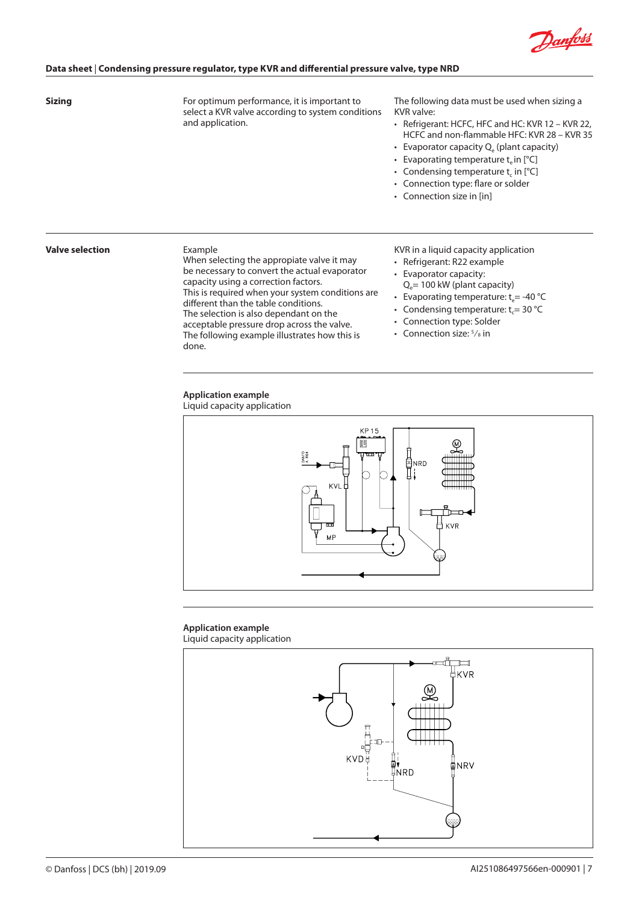

#### **Sizing**

For optimum performance, it is important to select a KVR valve according to system conditions and application.

The following data must be used when sizing a KVR valve:

- Refrigerant: HCFC, HFC and HC: KVR 12 KVR 22, HCFC and non-flammable HFC: KVR 28 – KVR 35
- Evaporator capacity  $Q_e$  (plant capacity)
- Evaporating temperature  $t_e$  in  $[°C]$
- Condensing temperature  $t_c$  in  $[°C]$
- Connection type: flare or solder
- Connection size in [in]

#### **Valve selection**

#### Example

When selecting the appropiate valve it may be necessary to convert the actual evaporator capacity using a correction factors. This is required when your system conditions are different than the table conditions. The selection is also dependant on the acceptable pressure drop across the valve. The following example illustrates how this is done.

KVR in a liquid capacity application

- Refrigerant: R22 example
- Evaporator capacity:  $Q_e$ = 100 kW (plant capacity)
- Evaporating temperature:  $t_e$  = -40 °C
- Condensing temperature:  $t_c = 30$  °C
- Connection type: Solder
- Connection size:  $5\frac{1}{8}$  in

# **Application example**

Liquid capacity application



# **Application example**

Liquid capacity application

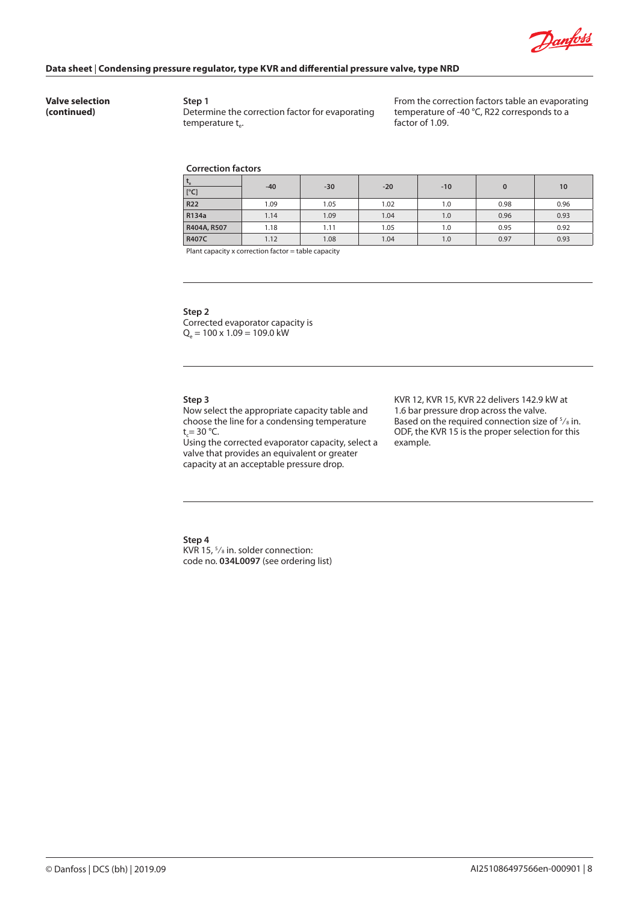

**Valve selection (continued)**

**Step 1** Determine the correction factor for evaporating temperature  $t_e$ .

From the correction factors table an evaporating temperature of -40 °C, R22 corresponds to a factor of 1.09.

#### **Correction factors**

| $L_{\rm e}$<br>[°C] | $-40$ | $-30$ | $-20$ | $-10$ | 0    | 10   |
|---------------------|-------|-------|-------|-------|------|------|
| R22                 | 1.09  | 1.05  | 1.02  | 1.0   | 0.98 | 0.96 |
| R134a               | 1.14  | 1.09  | 1.04  | 1.0   | 0.96 | 0.93 |
| R404A, R507         | 1.18  | 1.11  | 1.05  | 1.0   | 0.95 | 0.92 |
| R407C               | 1.12  | 1.08  | 1.04  | 1.0   | 0.97 | 0.93 |

Plant capacity x correction factor = table capacity

#### **Step 2**

Corrected evaporator capacity is  $Q_e = 100 \times 1.09 = 109.0$  kW

#### **Step 3**

Now select the appropriate capacity table and choose the line for a condensing temperature  $t_c = 30 °C$ .

Using the corrected evaporator capacity, select a valve that provides an equivalent or greater capacity at an acceptable pressure drop.

KVR 12, KVR 15, KVR 22 delivers 142.9 kW at 1.6 bar pressure drop across the valve. Based on the required connection size of  $\frac{5}{8}$  in. ODF, the KVR 15 is the proper selection for this example.

### **Step 4**

KVR 15, 5 ⁄8 in. solder connection: code no. **034L0097** (see ordering list)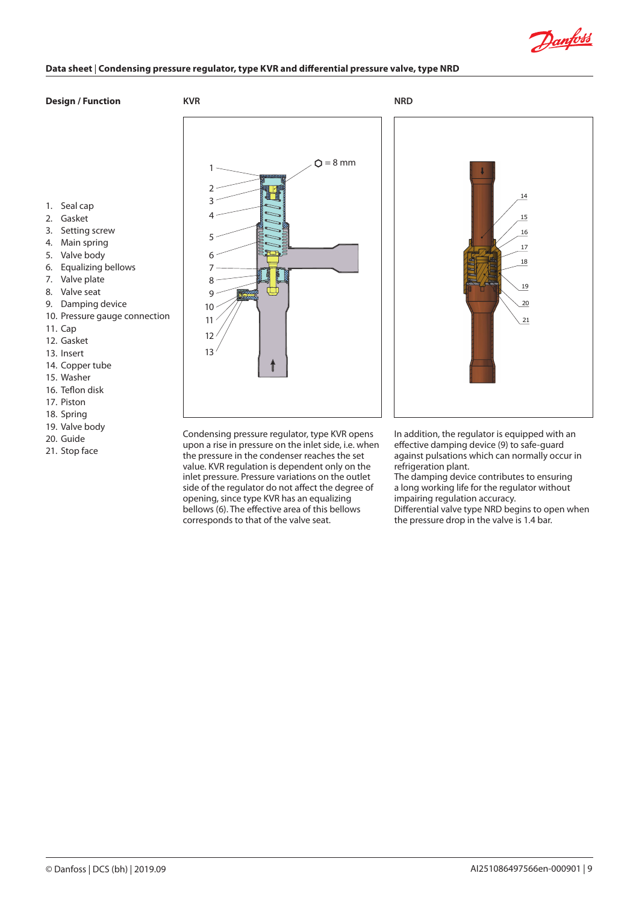

# **Design / Function**

**KVR NRD**



- 4. Main spring
- 5. Valve body
- 6. Equalizing bellows
- 7. Valve plate
- 8. Valve seat
- 9. Damping device
- 10. Pressure gauge connection
- 11. Cap
- 12. Gasket
- 13. Insert
- 14. Copper tube
- 15. Washer
- 16. Teflon disk
- 17. Piston
- 18. Spring
- 19. Valve body 20. Guide
- 21. Stop face



Condensing pressure regulator, type KVR opens upon a rise in pressure on the inlet side, i.e. when the pressure in the condenser reaches the set value. KVR regulation is dependent only on the inlet pressure. Pressure variations on the outlet side of the regulator do not affect the degree of opening, since type KVR has an equalizing bellows (6). The effective area of this bellows corresponds to that of the valve seat.

In addition, the regulator is equipped with an effective damping device (9) to safe-guard against pulsations which can normally occur in refrigeration plant.

The damping device contributes to ensuring a long working life for the regulator without impairing regulation accuracy. Differential valve type NRD begins to open when the pressure drop in the valve is 1.4 bar.

© Danfoss | DCS (bh) | 2019.09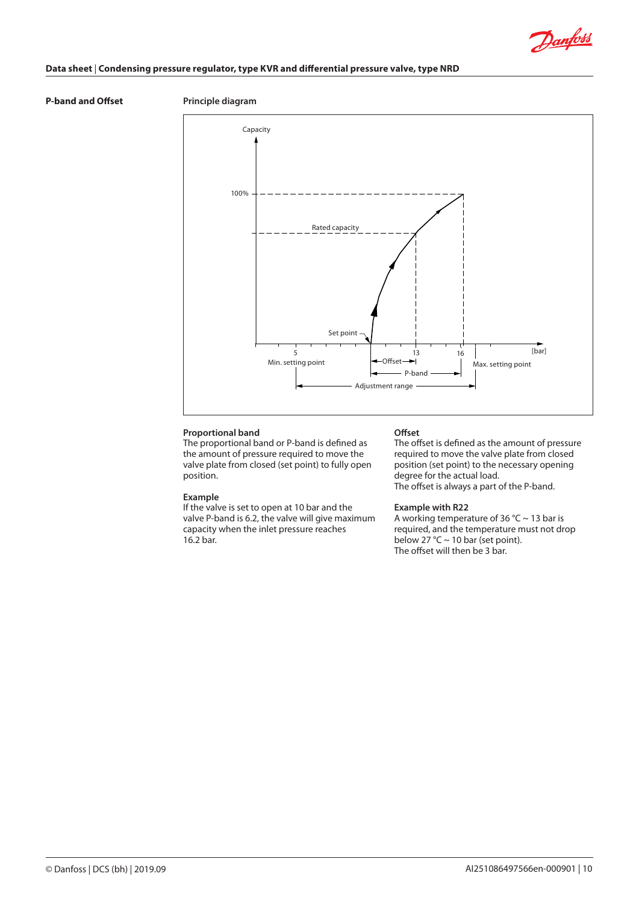

# **P-band and Offset Principle diagram**



# **Proportional band**

The proportional band or P-band is defined as the amount of pressure required to move the valve plate from closed (set point) to fully open position.

### **Example**

If the valve is set to open at 10 bar and the valve P-band is 6.2, the valve will give maximum capacity when the inlet pressure reaches 16.2 bar.

#### **Offset**

The offset is defined as the amount of pressure required to move the valve plate from closed position (set point) to the necessary opening degree for the actual load. The offset is always a part of the P-band.

### **Example with R22**

A working temperature of 36 °C ~ 13 bar is required, and the temperature must not drop below 27 °C  $\sim$  10 bar (set point). The offset will then be 3 bar.